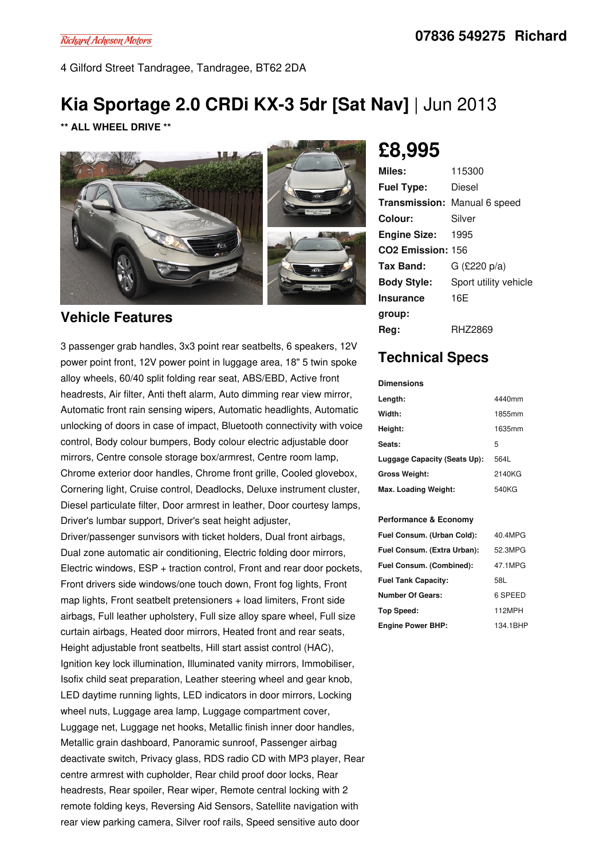4 Gilford Street Tandragee, Tandragee, BT62 2DA

## **Kia Sportage 2.0 CRDi KX-3 5dr [Sat Nav]** | Jun 2013

**\*\* ALL WHEEL DRIVE \*\***



#### **Vehicle Features**

3 passenger grab handles, 3x3 point rear seatbelts, 6 speakers, 12V power point front, 12V power point in luggage area, 18" 5 twin spoke alloy wheels, 60/40 split folding rear seat, ABS/EBD, Active front headrests, Air filter, Anti theft alarm, Auto dimming rear view mirror, Automatic front rain sensing wipers, Automatic headlights, Automatic unlocking of doors in case of impact, Bluetooth connectivity with voice control, Body colour bumpers, Body colour electric adjustable door mirrors, Centre console storage box/armrest, Centre room lamp, Chrome exterior door handles, Chrome front grille, Cooled glovebox, Cornering light, Cruise control, Deadlocks, Deluxe instrument cluster, Diesel particulate filter, Door armrest in leather, Door courtesy lamps, Driver's lumbar support, Driver's seat height adjuster,

Driver/passenger sunvisors with ticket holders, Dual front airbags, Dual zone automatic air conditioning, Electric folding door mirrors, Electric windows, ESP + traction control, Front and rear door pockets, Front drivers side windows/one touch down, Front fog lights, Front map lights, Front seatbelt pretensioners + load limiters, Front side airbags, Full leather upholstery, Full size alloy spare wheel, Full size curtain airbags, Heated door mirrors, Heated front and rear seats, Height adjustable front seatbelts, Hill start assist control (HAC), Ignition key lock illumination, Illuminated vanity mirrors, Immobiliser, Isofix child seat preparation, Leather steering wheel and gear knob, LED daytime running lights, LED indicators in door mirrors, Locking wheel nuts, Luggage area lamp, Luggage compartment cover, Luggage net, Luggage net hooks, Metallic finish inner door handles, Metallic grain dashboard, Panoramic sunroof, Passenger airbag deactivate switch, Privacy glass, RDS radio CD with MP3 player, Rear centre armrest with cupholder, Rear child proof door locks, Rear headrests, Rear spoiler, Rear wiper, Remote central locking with 2 remote folding keys, Reversing Aid Sensors, Satellite navigation with rear view parking camera, Silver roof rails, Speed sensitive auto door

# **£8,995**

| Miles:                              | 115300                |
|-------------------------------------|-----------------------|
| <b>Fuel Type:</b>                   | Diesel                |
| <b>Transmission:</b> Manual 6 speed |                       |
| Colour:                             | Silver                |
| <b>Engine Size: 1995</b>            |                       |
| CO <sub>2</sub> Emission: 156       |                       |
| Tax Band:                           | G $(E220 p/a)$        |
| <b>Body Style:</b>                  | Sport utility vehicle |
| <b>Insurance</b>                    | 16E                   |
| group:                              |                       |
| Reg:                                | RHZ2869               |

### **Technical Specs**

**Dimensions**

| Length:                      | 4440mm |
|------------------------------|--------|
| Width:                       | 1855mm |
| Height:                      | 1635mm |
| Seats:                       | 5      |
| Luggage Capacity (Seats Up): | 564L   |
| <b>Gross Weight:</b>         | 2140KG |
| Max. Loading Weight:         | 540KG  |

#### **Performance & Economy**

| Fuel Consum. (Urban Cold):  | 40.4MPG  |
|-----------------------------|----------|
| Fuel Consum. (Extra Urban): | 52.3MPG  |
| Fuel Consum. (Combined):    | 47.1MPG  |
| <b>Fuel Tank Capacity:</b>  | 58L      |
| <b>Number Of Gears:</b>     | 6 SPEED  |
| Top Speed:                  | 112MPH   |
| <b>Engine Power BHP:</b>    | 134.1BHP |